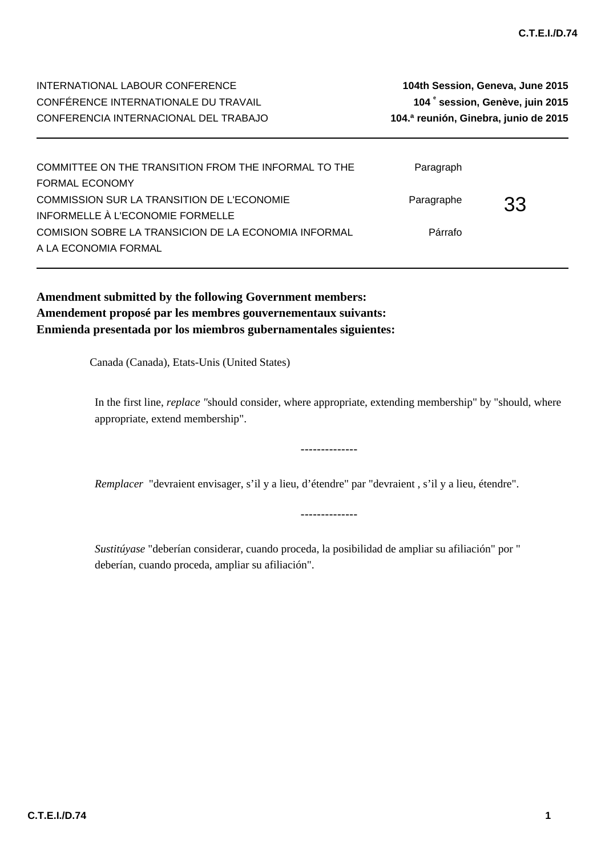| INTERNATIONAL LABOUR CONFERENCE       | 104th Session, Geneva, June 2015      |
|---------------------------------------|---------------------------------------|
| CONFÉRENCE INTERNATIONALE DU TRAVAIL  | 104° session, Genève, juin 2015       |
| CONFERENCIA INTERNACIONAL DEL TRABAJO | 104.ª reunión, Ginebra, junio de 2015 |
|                                       |                                       |

| COMMITTEE ON THE TRANSITION FROM THE INFORMAL TO THE | Paragraph  |     |
|------------------------------------------------------|------------|-----|
| <b>FORMAL ECONOMY</b>                                |            |     |
| COMMISSION SUR LA TRANSITION DE L'ECONOMIE           | Paragraphe | -33 |
| INFORMELLE À L'ECONOMIE FORMELLE                     |            |     |
| COMISION SOBRE LA TRANSICION DE LA ECONOMIA INFORMAL | Párrafo    |     |
| A LA ECONOMIA FORMAL                                 |            |     |

**Amendment submitted by the following Government members: Amendement proposé par les membres gouvernementaux suivants: Enmienda presentada por los miembros gubernamentales siguientes:**

Canada (Canada), Etats-Unis (United States)

In the first line, *replace "*should consider, where appropriate, extending membership" by "should, where appropriate, extend membership".

--------------

*Remplacer* "devraient envisager, s'il y a lieu, d'étendre" par "devraient , s'il y a lieu, étendre".

--------------

*Sustitúyase* "deberían considerar, cuando proceda, la posibilidad de ampliar su afiliación" por " deberían, cuando proceda, ampliar su afiliación".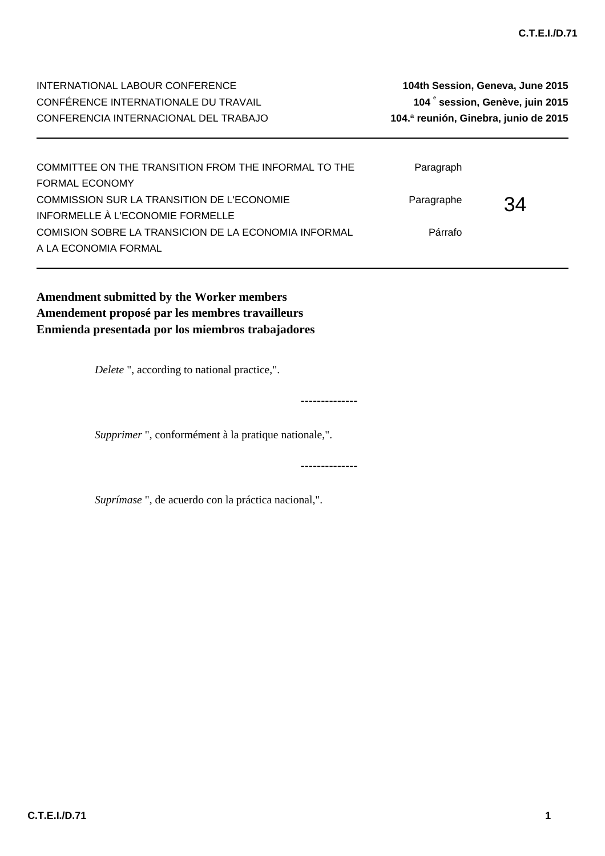**session, Genève, juin 2015**

| COMMITTEE ON THE TRANSITION FROM THE INFORMAL TO THE<br><b>FORMAL ECONOMY</b>            | Paragraph  |    |  |
|------------------------------------------------------------------------------------------|------------|----|--|
| COMMISSION SUR LA TRANSITION DE L'ECONOMIE                                               | Paragraphe | 34 |  |
| INFORMELLE À L'ECONOMIE FORMELLE<br>COMISION SOBRE LA TRANSICION DE LA ECONOMIA INFORMAL | Párrafo    |    |  |
| A LA ECONOMIA FORMAL                                                                     |            |    |  |

--------------

--------------

**Amendment submitted by the Worker members Amendement proposé par les membres travailleurs Enmienda presentada por los miembros trabajadores**

*Delete* ", according to national practice,".

*Supprimer* ", conformément à la pratique nationale,".

*Suprímase* ", de acuerdo con la práctica nacional,".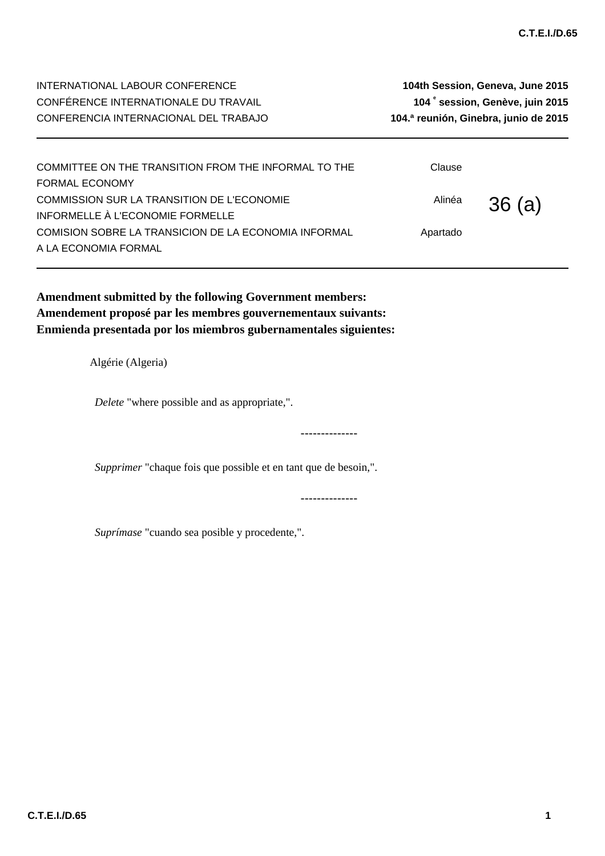| COMMITTEE ON THE TRANSITION FROM THE INFORMAL TO THE<br><b>FORMAL ECONOMY</b>  | Clause   |       |
|--------------------------------------------------------------------------------|----------|-------|
| COMMISSION SUR LA TRANSITION DE L'ECONOMIE<br>INFORMELLE À L'ECONOMIE FORMELLE | Alinéa   | 36(a) |
| COMISION SOBRE LA TRANSICION DE LA ECONOMIA INFORMAL<br>A LA ECONOMIA FORMAL   | Apartado |       |

**Amendment submitted by the following Government members: Amendement proposé par les membres gouvernementaux suivants: Enmienda presentada por los miembros gubernamentales siguientes:**

Algérie (Algeria)

*Delete* "where possible and as appropriate,".

*Supprimer* "chaque fois que possible et en tant que de besoin,".

--------------

--------------

*Suprímase* "cuando sea posible y procedente,".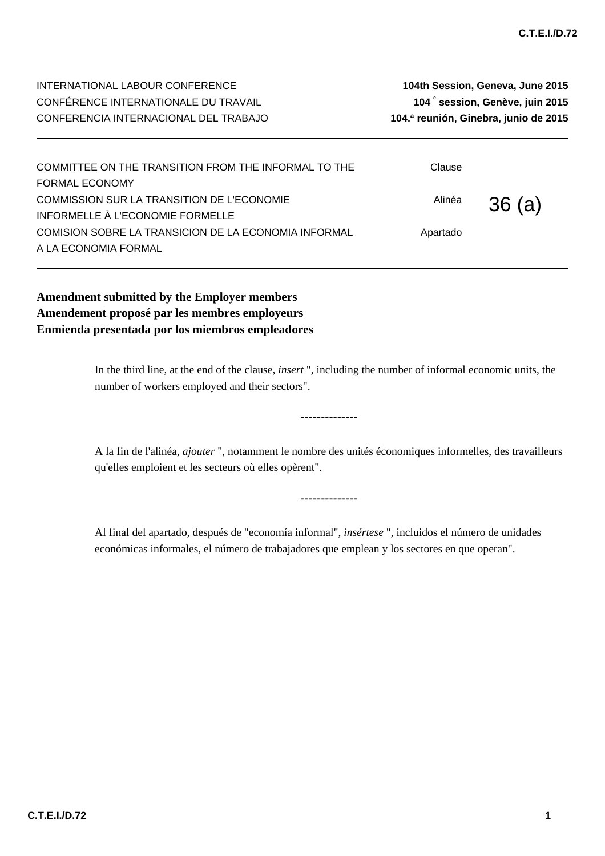| INTERNATIONAL LABOUR CONFERENCE       | 104th Session, Geneva, June 2015            |
|---------------------------------------|---------------------------------------------|
| CONFÉRENCE INTERNATIONALE DU TRAVAIL  | 104 <sup>e</sup> session, Genève, juin 2015 |
| CONFERENCIA INTERNACIONAL DEL TRABAJO | 104.ª reunión, Ginebra, junio de 2015       |
|                                       |                                             |

| COMMITTEE ON THE TRANSITION FROM THE INFORMAL TO THE | Clause   |        |
|------------------------------------------------------|----------|--------|
| <b>FORMAL ECONOMY</b>                                |          |        |
| COMMISSION SUR LA TRANSITION DE L'ECONOMIE           | Alinéa   | 36 (a) |
| INFORMELLE À L'ECONOMIE FORMELLE                     |          |        |
| COMISION SOBRE LA TRANSICION DE LA ECONOMIA INFORMAL | Apartado |        |
| A LA ECONOMIA FORMAL                                 |          |        |

**Amendment submitted by the Employer members Amendement proposé par les membres employeurs Enmienda presentada por los miembros empleadores**

> In the third line, at the end of the clause, *insert* ", including the number of informal economic units, the number of workers employed and their sectors".

> > --------------

A la fin de l'alinéa, *ajouter* ", notamment le nombre des unités économiques informelles, des travailleurs qu'elles emploient et les secteurs où elles opèrent".

--------------

Al final del apartado, después de "economía informal", *insértese* ", incluidos el número de unidades económicas informales, el número de trabajadores que emplean y los sectores en que operan".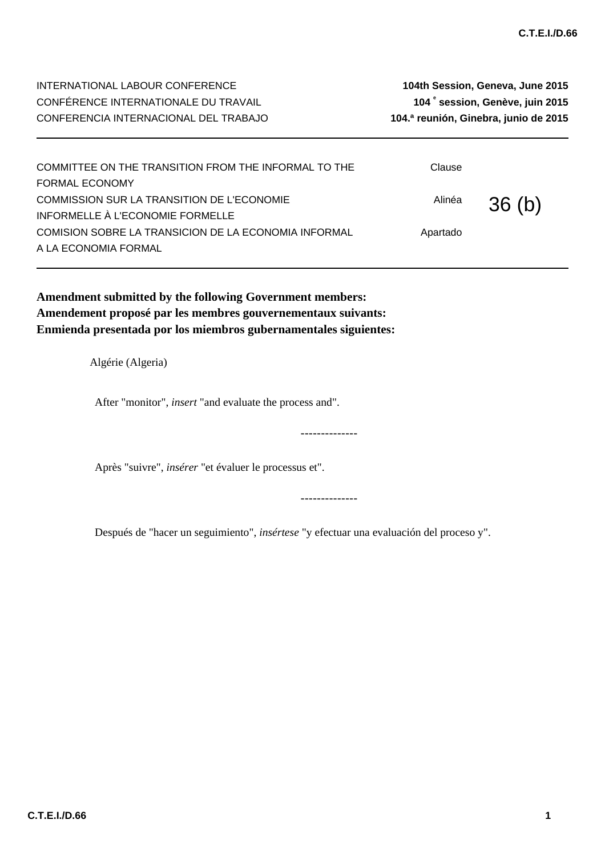Apartado

| INTERNATIONAL LABOUR CONFERENCE<br>CONFÉRENCE INTERNATIONALE DU TRAVAIL<br>CONFERENCIA INTERNACIONAL DEL TRABAJO | 104th Session, Geneva, June 2015<br>104° session, Genève, juin 2015<br>104.ª reunión, Ginebra, junio de 2015 |       |  |
|------------------------------------------------------------------------------------------------------------------|--------------------------------------------------------------------------------------------------------------|-------|--|
| COMMITTEE ON THE TRANSITION FROM THE INFORMAL TO THE                                                             | Clause                                                                                                       |       |  |
| <b>FORMAL ECONOMY</b>                                                                                            |                                                                                                              |       |  |
| COMMISSION SUR LA TRANSITION DE L'ECONOMIE<br>$H = 25145115$                                                     | Alinéa                                                                                                       | 36(b) |  |

INFORMELLE À L'ECONOMIE FORMELLE COMISION SOBRE LA TRANSICION DE LA ECONOMIA INFORMAL

A LA ECONOMIA FORMAL

**Amendment submitted by the following Government members: Amendement proposé par les membres gouvernementaux suivants: Enmienda presentada por los miembros gubernamentales siguientes:**

Algérie (Algeria)

After "monitor", *insert* "and evaluate the process and".

Après "suivre", *insérer* "et évaluer le processus et".

Después de "hacer un seguimiento", *insértese* "y efectuar una evaluación del proceso y".

--------------

--------------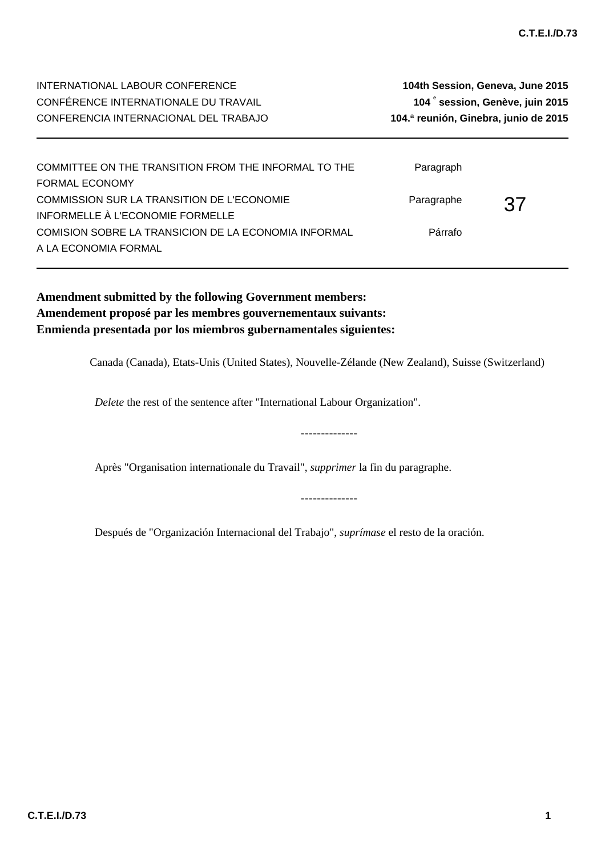INTERNATIONAL LABOUR CONFERENCE **104th Session, Geneva, June 2015** CONFÉRENCE INTERNATIONALE DU TRAVAIL **104 <sup>e</sup> session, Genève, juin 2015** CONFERENCIA INTERNACIONAL DEL TRABAJO **104.ª reunión, Ginebra, junio de 2015** COMMITTEE ON THE TRANSITION FROM THE INFORMAL TO THE Paragraph

FORMAL ECONOMY 37 COMMISSION SUR LA TRANSITION DE L'ECONOMIE INFORMELLE À L'ECONOMIE FORMELLE Paragraphe COMISION SOBRE LA TRANSICION DE LA ECONOMIA INFORMAL A LA ECONOMIA FORMAL Párrafo

**Amendment submitted by the following Government members: Amendement proposé par les membres gouvernementaux suivants: Enmienda presentada por los miembros gubernamentales siguientes:**

Canada (Canada), Etats-Unis (United States), Nouvelle-Zélande (New Zealand), Suisse (Switzerland)

--------------

--------------

*Delete* the rest of the sentence after "International Labour Organization".

Après "Organisation internationale du Travail", *supprimer* la fin du paragraphe.

Después de "Organización Internacional del Trabajo", *suprímase* el resto de la oración.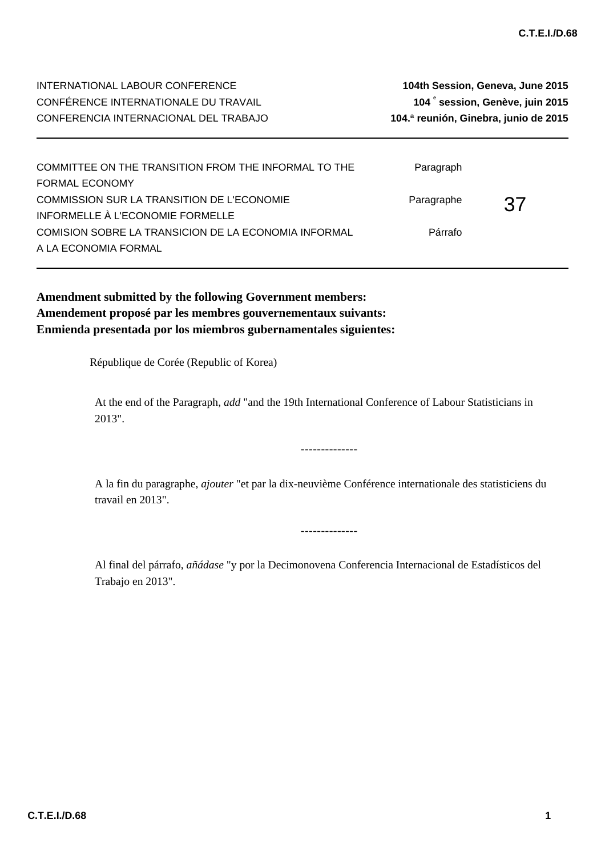| COMMITTEE ON THE TRANSITION FROM THE INFORMAL TO THE<br><b>FORMAL ECONOMY</b>            | Paragraph  |     |
|------------------------------------------------------------------------------------------|------------|-----|
| COMMISSION SUR LA TRANSITION DE L'ECONOMIE                                               | Paragraphe | -37 |
| INFORMELLE À L'ECONOMIE FORMELLE<br>COMISION SOBRE LA TRANSICION DE LA ECONOMIA INFORMAL | Párrafo    |     |
| A LA ECONOMIA FORMAL                                                                     |            |     |

**Amendment submitted by the following Government members: Amendement proposé par les membres gouvernementaux suivants: Enmienda presentada por los miembros gubernamentales siguientes:**

République de Corée (Republic of Korea)

At the end of the Paragraph, *add* "and the 19th International Conference of Labour Statisticians in 2013".

A la fin du paragraphe, *ajouter* "et par la dix-neuvième Conférence internationale des statisticiens du travail en 2013".

--------------

--------------

Al final del párrafo, *añádase* "y por la Decimonovena Conferencia Internacional de Estadísticos del Trabajo en 2013".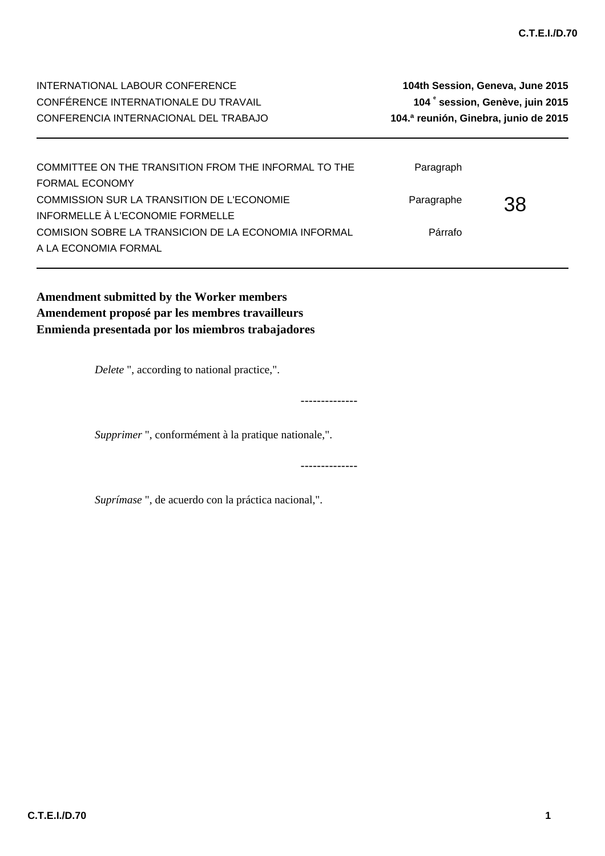**session, Genève, juin 2015**

| COMMITTEE ON THE TRANSITION FROM THE INFORMAL TO THE<br><b>FORMAL ECONOMY</b>  | Paragraph  |     |  |
|--------------------------------------------------------------------------------|------------|-----|--|
| COMMISSION SUR LA TRANSITION DE L'ECONOMIE<br>INFORMELLE À L'ECONOMIE FORMELLE | Paragraphe | .38 |  |
| COMISION SOBRE LA TRANSICION DE LA ECONOMIA INFORMAL<br>A LA ECONOMIA FORMAL   | Párrafo    |     |  |

--------------

--------------

**Amendment submitted by the Worker members Amendement proposé par les membres travailleurs Enmienda presentada por los miembros trabajadores**

*Delete* ", according to national practice,".

*Supprimer* ", conformément à la pratique nationale,".

*Suprímase* ", de acuerdo con la práctica nacional,".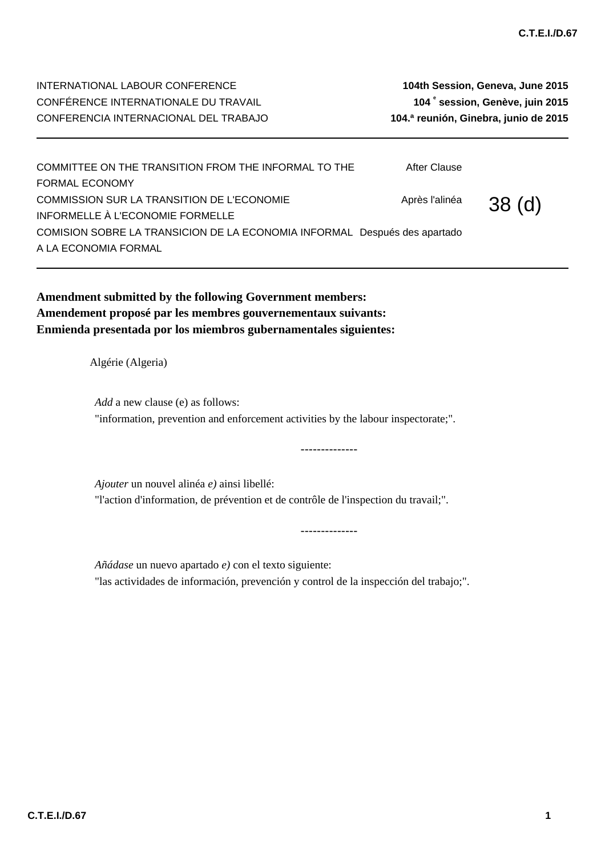**session, Genève, juin 2015**

| COMMITTEE ON THE TRANSITION FROM THE INFORMAL TO THE                      | After Clause   |       |
|---------------------------------------------------------------------------|----------------|-------|
| <b>FORMAL ECONOMY</b>                                                     |                |       |
| COMMISSION SUR LA TRANSITION DE L'ECONOMIE                                | Après l'alinéa | 38(d) |
| INFORMELLE À L'ECONOMIE FORMELLE                                          |                |       |
| COMISION SOBRE LA TRANSICION DE LA ECONOMIA INFORMAL Después des apartado |                |       |
| A LA ECONOMIA FORMAL                                                      |                |       |

**Amendment submitted by the following Government members: Amendement proposé par les membres gouvernementaux suivants: Enmienda presentada por los miembros gubernamentales siguientes:**

Algérie (Algeria)

*Add* a new clause (e) as follows: "information, prevention and enforcement activities by the labour inspectorate;".

--------------

--------------

*Ajouter* un nouvel alinéa *e)* ainsi libellé: "l'action d'information, de prévention et de contrôle de l'inspection du travail;".

*Añádase* un nuevo apartado *e)* con el texto siguiente: "las actividades de información, prevención y control de la inspección del trabajo;".